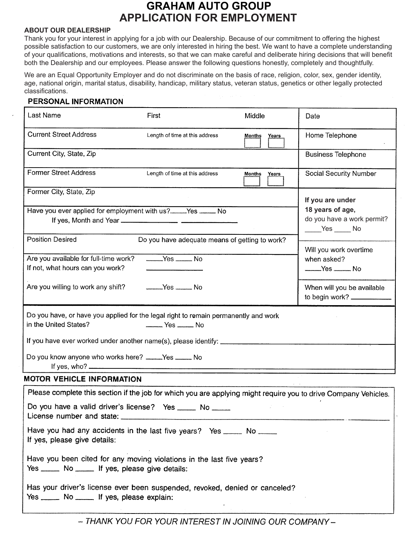# **APPLICATION FOR EMPLOYMENT GRAHAM AUTO GROUP**

#### **ABOUT OUR DEALERSHIP**

Thank you for your interest in applying for a job with our Dealership. Because of our commitment to offering the highest possible satisfaction to our customers, we are only interested in hiring the best. We want to have a complete understanding of your qualifications, motivations and interests, so that we can make careful and deliberate hiring decisions that will benefit both the Dealership and our employees. Please answer the following questions honestly, completely and thoughtfully.

We are an Equal Opportunity Employer and do not discriminate on the basis of race, religion, color, sex, gender identity, age, national origin, marital status, disability, handicap, military status, veteran status, genetics or other legally protected classifications.

#### PERSONAL INFORMATION

| Last Name                                                                                                                   | First                                                                                                                                                                                                          | Middle          | Date                                                                                               |  |  |
|-----------------------------------------------------------------------------------------------------------------------------|----------------------------------------------------------------------------------------------------------------------------------------------------------------------------------------------------------------|-----------------|----------------------------------------------------------------------------------------------------|--|--|
| <b>Current Street Address</b>                                                                                               | Length of time at this address                                                                                                                                                                                 | Months<br>Years | Home Telephone                                                                                     |  |  |
| Current City, State, Zip                                                                                                    |                                                                                                                                                                                                                |                 | <b>Business Telephone</b>                                                                          |  |  |
| Former Street Address                                                                                                       | Length of time at this address                                                                                                                                                                                 | Months<br>Years | Social Security Number                                                                             |  |  |
| Former City, State, Zip                                                                                                     |                                                                                                                                                                                                                |                 | If you are under                                                                                   |  |  |
|                                                                                                                             | Have you ever applied for employment with us?____Yes ____ No                                                                                                                                                   |                 | 18 years of age,<br>do you have a work permit?<br>$\rule{1em}{0.15mm}$ Yes $\rule{1em}{0.15mm}$ No |  |  |
| <b>Position Desired</b>                                                                                                     | Do you have adequate means of getting to work?                                                                                                                                                                 |                 | Will you work overtime                                                                             |  |  |
| Are you available for full-time work?<br>If not, what hours can you work?                                                   | $Yes$ No                                                                                                                                                                                                       |                 | when asked?                                                                                        |  |  |
| Are you willing to work any shift?                                                                                          |                                                                                                                                                                                                                |                 | When will you be available<br>to begin work?                                                       |  |  |
| in the United States?<br>Do you know anyone who works here? ____Yes ____ No                                                 | Do you have, or have you applied for the legal right to remain permanently and work<br>$\frac{1}{1}$ Yes $\frac{1}{1}$ No<br>If you have ever worked under another name(s), please identify: www.componenties- |                 |                                                                                                    |  |  |
| <b>MOTOR VEHICLE INFORMATION</b>                                                                                            |                                                                                                                                                                                                                |                 |                                                                                                    |  |  |
| License number and state:                                                                                                   | Please complete this section if the job for which you are applying might require you to drive Company Vehicles.<br>Do you have a valid driver's license? Yes _____ No _____                                    |                 |                                                                                                    |  |  |
| If yes, please give details:                                                                                                | Have you had any accidents in the last five years? Yes _____ No _____                                                                                                                                          |                 |                                                                                                    |  |  |
| Yes ______ No ______ If yes, please give details:                                                                           | Have you been cited for any moving violations in the last five years?                                                                                                                                          |                 |                                                                                                    |  |  |
| Has your driver's license ever been suspended, revoked, denied or canceled?<br>Yes ______ No ______ If yes, please explain: |                                                                                                                                                                                                                |                 |                                                                                                    |  |  |

- THANK YOU FOR YOUR INTEREST IN JOINING OUR COMPANY-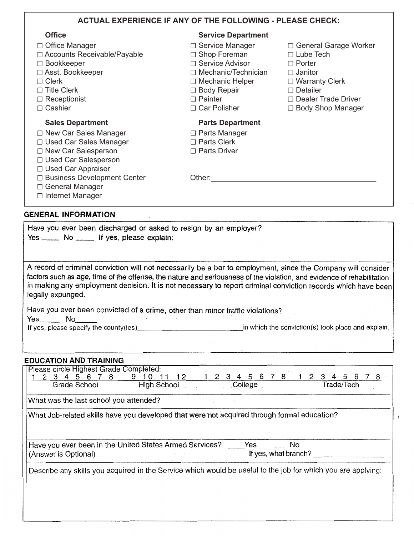|                               | <b>ACTUAL EXPERIENCE IF ANY OF THE FOLLOWING - PLEASE CHECK:</b> |                            |
|-------------------------------|------------------------------------------------------------------|----------------------------|
| <b>Office</b>                 | <b>Service Department</b>                                        |                            |
| □ Office Manager              | □ Service Manager                                                | □ General Garage Worker    |
| □ Accounts Receivable/Payable | □ Shop Foreman                                                   | $\Box$ Lube Tech           |
| $\Box$ Bookkeeper             | □ Service Advisor                                                | $\Box$ Porter              |
| □ Asst. Bookkeeper            | □ Mechanic/Technician                                            | $\Box$ Janitor             |
| $\Box$ Clerk                  | $\Box$ Mechanic Helper                                           | $\Box$ Warranty Clerk      |
| $\Box$ Title Clerk            | $\Box$ Body Repair                                               | $\Box$ Detailer            |
| $\Box$ Receptionist           | $\Box$ Painter                                                   | $\Box$ Dealer Trade Driver |
| $\Box$ Cashier                | □ Car Polisher                                                   | □ Body Shop Manager        |
| <b>Sales Department</b>       | <b>Parts Department</b>                                          |                            |
| □ New Car Sales Manager       | $\Box$ Parts Manager                                             |                            |
| □ Used Car Sales Manager      | $\Box$ Parts Clerk                                               |                            |
| □ New Car Salesperson         | □ Parts Driver                                                   |                            |
| □ Used Car Salesperson        |                                                                  |                            |
| □ Used Car Appraiser          |                                                                  |                            |
| □ Business Development Center | Other:                                                           |                            |
| □ General Manager             |                                                                  |                            |
|                               |                                                                  |                            |

|  |  |  |  |                                            |  |  | Have you ever been discharged or asked to resign by an employer? |  |
|--|--|--|--|--------------------------------------------|--|--|------------------------------------------------------------------|--|
|  |  |  |  | Yes _____ No _____ If yes, please explain: |  |  |                                                                  |  |

A record of criminal conviction will not necessarily be a bar to employment, since the Company will consider factors such as age, time of the offense, the nature and seriousness of the violation, and evidence of rehabilitation in making any employment decision. It is not necessary to report criminal conviction records which have been legally expunged.

Have you ever been convicted of a crime, other than minor traffic violations?

Yes No

If yes, please specify the county(ies) in which the conviction(s) took place and explain.

#### **EDUCATION AND TRAINING**

| Please circle Highest Grade Completed:                                                                       |                                     |
|--------------------------------------------------------------------------------------------------------------|-------------------------------------|
| 5 6 7<br>8<br>12                                                                                             | 5 6 7 8<br>1234<br>4<br>3<br>5<br>6 |
| Grade School<br>High School                                                                                  | College<br>Trade/Tech               |
| What was the last school you attended?                                                                       |                                     |
| What Job-related skills have you developed that were not acquired through formal education?                  |                                     |
|                                                                                                              |                                     |
| Have you ever been in the United States Armed Services?                                                      | Yes<br>No                           |
| (Answer is Optional)                                                                                         | If yes, what branch?                |
| Describe any skills you acquired in the Service which would be useful to the job for which you are applying: |                                     |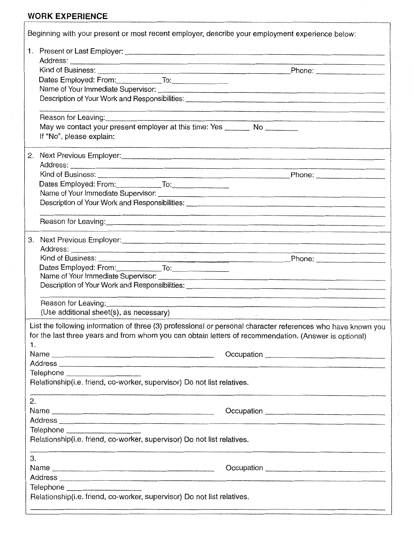## **WORK EXPERIENCE**

|    | Beginning with your present or most recent employer, describe your employment experience below:                                                                                                                                                                        |  |  |  |  |  |  |  |
|----|------------------------------------------------------------------------------------------------------------------------------------------------------------------------------------------------------------------------------------------------------------------------|--|--|--|--|--|--|--|
|    |                                                                                                                                                                                                                                                                        |  |  |  |  |  |  |  |
|    |                                                                                                                                                                                                                                                                        |  |  |  |  |  |  |  |
|    | Dates Employed: From: To: To:                                                                                                                                                                                                                                          |  |  |  |  |  |  |  |
|    |                                                                                                                                                                                                                                                                        |  |  |  |  |  |  |  |
|    |                                                                                                                                                                                                                                                                        |  |  |  |  |  |  |  |
|    |                                                                                                                                                                                                                                                                        |  |  |  |  |  |  |  |
|    | Reason for Leaving: <u>contained</u> and the contact of the contact of the contact of the contact of the contact of the                                                                                                                                                |  |  |  |  |  |  |  |
|    | May we contact your present employer at this time: Yes _______ No ________<br>If "No", please explain:                                                                                                                                                                 |  |  |  |  |  |  |  |
|    |                                                                                                                                                                                                                                                                        |  |  |  |  |  |  |  |
| 2. | Next Previous Employer: Manual Communication of the Communication of the Communication of the Communication of                                                                                                                                                         |  |  |  |  |  |  |  |
|    |                                                                                                                                                                                                                                                                        |  |  |  |  |  |  |  |
|    |                                                                                                                                                                                                                                                                        |  |  |  |  |  |  |  |
|    |                                                                                                                                                                                                                                                                        |  |  |  |  |  |  |  |
|    | Dates Employed: From: To: To: To: Name of Your Immediate Supervisor:                                                                                                                                                                                                   |  |  |  |  |  |  |  |
|    | Description of Your Work and Responsibilities: __________________________________                                                                                                                                                                                      |  |  |  |  |  |  |  |
|    | Reason for Leaving: <u>Alexander Contract Construction of the Construction of the Construction of the Construction</u>                                                                                                                                                 |  |  |  |  |  |  |  |
|    | . In the component of the component of the component of the component of the component of the component of the                                                                                                                                                         |  |  |  |  |  |  |  |
|    | 3. Next Previous Employer:<br>external contract of the contract of the contract of the contract of the contract of the contract of the contract of the contract of the contract of the contract of the contract of the contract                                        |  |  |  |  |  |  |  |
|    |                                                                                                                                                                                                                                                                        |  |  |  |  |  |  |  |
|    | Dates Employed: From: To: To: To:                                                                                                                                                                                                                                      |  |  |  |  |  |  |  |
|    |                                                                                                                                                                                                                                                                        |  |  |  |  |  |  |  |
|    |                                                                                                                                                                                                                                                                        |  |  |  |  |  |  |  |
|    | <del><br/>https://www.chitler.com/</del> /www.chitler.com/www.chitler.com/www.chitler.com/www.chitler.com/www.chitler.com/www.chitler.com/www.chitler.com/www.chitler.com/www.chitler.com/www.chitler.com/<br>_________________________________<br>Reason for Leaving: |  |  |  |  |  |  |  |
|    | (Use additional sheet(s), as necessary)                                                                                                                                                                                                                                |  |  |  |  |  |  |  |
|    | List the following information of three (3) professional or personal character references who have known you                                                                                                                                                           |  |  |  |  |  |  |  |
|    | for the last three years and from whom you can obtain letters of recommendation. (Answer is optional)                                                                                                                                                                  |  |  |  |  |  |  |  |
| 1. |                                                                                                                                                                                                                                                                        |  |  |  |  |  |  |  |
|    |                                                                                                                                                                                                                                                                        |  |  |  |  |  |  |  |
|    |                                                                                                                                                                                                                                                                        |  |  |  |  |  |  |  |
|    | Telephone ______________________                                                                                                                                                                                                                                       |  |  |  |  |  |  |  |
|    | Relationship(i.e. friend, co-worker, supervisor) Do not list relatives.                                                                                                                                                                                                |  |  |  |  |  |  |  |
| 2. |                                                                                                                                                                                                                                                                        |  |  |  |  |  |  |  |
|    |                                                                                                                                                                                                                                                                        |  |  |  |  |  |  |  |
|    |                                                                                                                                                                                                                                                                        |  |  |  |  |  |  |  |
|    | Telephone _____________________                                                                                                                                                                                                                                        |  |  |  |  |  |  |  |
|    | Relationship(i.e. friend, co-worker, supervisor) Do not list relatives.                                                                                                                                                                                                |  |  |  |  |  |  |  |
| 3. |                                                                                                                                                                                                                                                                        |  |  |  |  |  |  |  |
|    |                                                                                                                                                                                                                                                                        |  |  |  |  |  |  |  |
|    |                                                                                                                                                                                                                                                                        |  |  |  |  |  |  |  |
|    | Telephone ______________________                                                                                                                                                                                                                                       |  |  |  |  |  |  |  |
|    | Relationship(i.e. friend, co-worker, supervisor) Do not list relatives.                                                                                                                                                                                                |  |  |  |  |  |  |  |
|    |                                                                                                                                                                                                                                                                        |  |  |  |  |  |  |  |